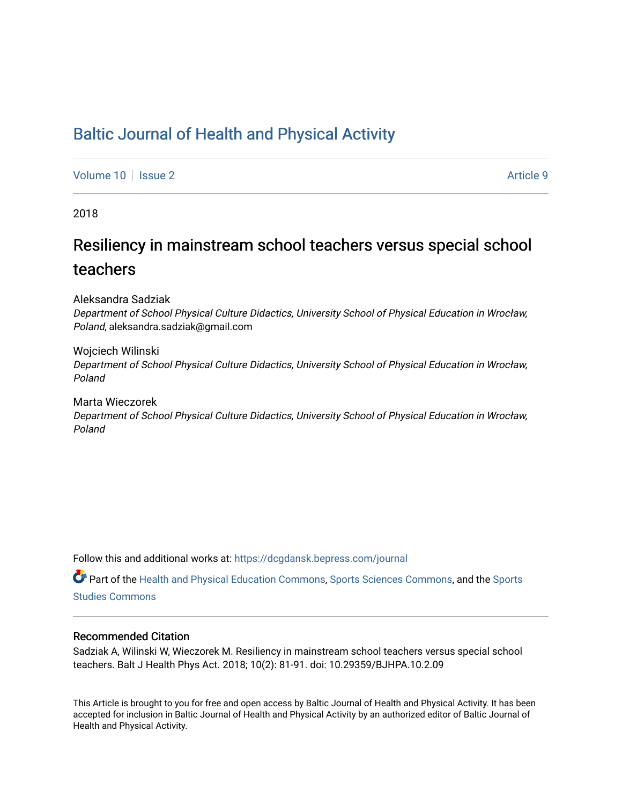# [Baltic Journal of Health and Physical Activity](https://dcgdansk.bepress.com/journal)

[Volume 10](https://dcgdansk.bepress.com/journal/vol10) | [Issue 2](https://dcgdansk.bepress.com/journal/vol10/iss2) Article 9

2018

# Resiliency in mainstream school teachers versus special school teachers

Aleksandra Sadziak

Department of School Physical Culture Didactics, University School of Physical Education in Wrocław, Poland, aleksandra.sadziak@gmail.com

Wojciech Wilinski Department of School Physical Culture Didactics, University School of Physical Education in Wrocław, Poland

Marta Wieczorek Department of School Physical Culture Didactics, University School of Physical Education in Wrocław, Poland

Follow this and additional works at: [https://dcgdansk.bepress.com/journal](https://dcgdansk.bepress.com/journal?utm_source=dcgdansk.bepress.com%2Fjournal%2Fvol10%2Fiss2%2F9&utm_medium=PDF&utm_campaign=PDFCoverPages)

Part of the [Health and Physical Education Commons](http://network.bepress.com/hgg/discipline/1327?utm_source=dcgdansk.bepress.com%2Fjournal%2Fvol10%2Fiss2%2F9&utm_medium=PDF&utm_campaign=PDFCoverPages), [Sports Sciences Commons](http://network.bepress.com/hgg/discipline/759?utm_source=dcgdansk.bepress.com%2Fjournal%2Fvol10%2Fiss2%2F9&utm_medium=PDF&utm_campaign=PDFCoverPages), and the [Sports](http://network.bepress.com/hgg/discipline/1198?utm_source=dcgdansk.bepress.com%2Fjournal%2Fvol10%2Fiss2%2F9&utm_medium=PDF&utm_campaign=PDFCoverPages)  [Studies Commons](http://network.bepress.com/hgg/discipline/1198?utm_source=dcgdansk.bepress.com%2Fjournal%2Fvol10%2Fiss2%2F9&utm_medium=PDF&utm_campaign=PDFCoverPages) 

#### Recommended Citation

Sadziak A, Wilinski W, Wieczorek M. Resiliency in mainstream school teachers versus special school teachers. Balt J Health Phys Act. 2018; 10(2): 81-91. doi: 10.29359/BJHPA.10.2.09

This Article is brought to you for free and open access by Baltic Journal of Health and Physical Activity. It has been accepted for inclusion in Baltic Journal of Health and Physical Activity by an authorized editor of Baltic Journal of Health and Physical Activity.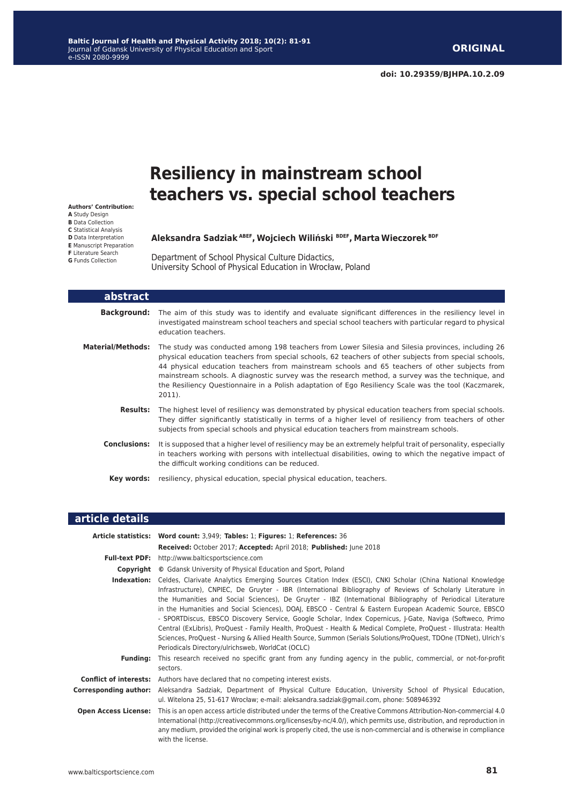# **Resiliency in mainstream school teachers vs. special school teachers**

**Authors' Contribution: A** Study Design **B** Data Collection **C** Statistical Analysis **D** Data Interpretation **E** Manuscript Preparation **F** Literature Search **G** Funds Collection

#### **Aleksandra Sadziak ABEF, Wojciech Wiliński BDEF, Marta Wieczorek BDF**

Department of School Physical Culture Didactics, University School of Physical Education in Wrocław, Poland

| abstract                 |                                                                                                                                                                                                                                                                                                                                                                                                                                                                                                                                   |
|--------------------------|-----------------------------------------------------------------------------------------------------------------------------------------------------------------------------------------------------------------------------------------------------------------------------------------------------------------------------------------------------------------------------------------------------------------------------------------------------------------------------------------------------------------------------------|
| Background:              | The aim of this study was to identify and evaluate significant differences in the resiliency level in<br>investigated mainstream school teachers and special school teachers with particular regard to physical<br>education teachers.                                                                                                                                                                                                                                                                                            |
| <b>Material/Methods:</b> | The study was conducted among 198 teachers from Lower Silesia and Silesia provinces, including 26<br>physical education teachers from special schools, 62 teachers of other subjects from special schools,<br>44 physical education teachers from mainstream schools and 65 teachers of other subjects from<br>mainstream schools. A diagnostic survey was the research method, a survey was the technique, and<br>the Resiliency Questionnaire in a Polish adaptation of Ego Resiliency Scale was the tool (Kaczmarek,<br>2011). |
| <b>Results:</b>          | The highest level of resiliency was demonstrated by physical education teachers from special schools.<br>They differ significantly statistically in terms of a higher level of resiliency from teachers of other<br>subjects from special schools and physical education teachers from mainstream schools.                                                                                                                                                                                                                        |
| <b>Conclusions:</b>      | It is supposed that a higher level of resiliency may be an extremely helpful trait of personality, especially<br>in teachers working with persons with intellectual disabilities, owing to which the negative impact of<br>the difficult working conditions can be reduced.                                                                                                                                                                                                                                                       |
| Key words:               | resiliency, physical education, special physical education, teachers.                                                                                                                                                                                                                                                                                                                                                                                                                                                             |

#### **article details**

|                              | Article statistics: Word count: 3,949; Tables: 1; Figures: 1; References: 36                                                                                                                                                                                                                                                                                                                                                                                                                                                                                                                                                                                                                                                                                                                                                                                              |  |  |  |  |  |
|------------------------------|---------------------------------------------------------------------------------------------------------------------------------------------------------------------------------------------------------------------------------------------------------------------------------------------------------------------------------------------------------------------------------------------------------------------------------------------------------------------------------------------------------------------------------------------------------------------------------------------------------------------------------------------------------------------------------------------------------------------------------------------------------------------------------------------------------------------------------------------------------------------------|--|--|--|--|--|
|                              | Received: October 2017; Accepted: April 2018; Published: June 2018                                                                                                                                                                                                                                                                                                                                                                                                                                                                                                                                                                                                                                                                                                                                                                                                        |  |  |  |  |  |
|                              | Full-text PDF: http://www.balticsportscience.com                                                                                                                                                                                                                                                                                                                                                                                                                                                                                                                                                                                                                                                                                                                                                                                                                          |  |  |  |  |  |
|                              | <b>Copyright</b> © Gdansk University of Physical Education and Sport, Poland                                                                                                                                                                                                                                                                                                                                                                                                                                                                                                                                                                                                                                                                                                                                                                                              |  |  |  |  |  |
|                              | Indexation: Celdes, Clarivate Analytics Emerging Sources Citation Index (ESCI), CNKI Scholar (China National Knowledge<br>Infrastructure), CNPIEC, De Gruyter - IBR (International Bibliography of Reviews of Scholarly Literature in<br>the Humanities and Social Sciences), De Gruyter - IBZ (International Bibliography of Periodical Literature<br>in the Humanities and Social Sciences), DOAJ, EBSCO - Central & Eastern European Academic Source, EBSCO<br>- SPORTDiscus, EBSCO Discovery Service, Google Scholar, Index Copernicus, J-Gate, Naviga (Softweco, Primo<br>Central (ExLibris), ProQuest - Family Health, ProQuest - Health & Medical Complete, ProQuest - Illustrata: Health<br>Sciences, ProQuest - Nursing & Allied Health Source, Summon (Serials Solutions/ProQuest, TDOne (TDNet), Ulrich's<br>Periodicals Directory/ulrichsweb, WorldCat (OCLC) |  |  |  |  |  |
| <b>Fundina:</b>              | This research received no specific grant from any funding agency in the public, commercial, or not-for-profit<br>sectors.                                                                                                                                                                                                                                                                                                                                                                                                                                                                                                                                                                                                                                                                                                                                                 |  |  |  |  |  |
|                              | <b>Conflict of interests:</b> Authors have declared that no competing interest exists.                                                                                                                                                                                                                                                                                                                                                                                                                                                                                                                                                                                                                                                                                                                                                                                    |  |  |  |  |  |
| <b>Corresponding author:</b> | Aleksandra Sadziak, Department of Physical Culture Education, University School of Physical Education,<br>ul. Witelona 25, 51-617 Wrocław; e-mail: aleksandra.sadziak@gmail.com, phone: 508946392                                                                                                                                                                                                                                                                                                                                                                                                                                                                                                                                                                                                                                                                         |  |  |  |  |  |
| <b>Open Access License:</b>  | This is an open access article distributed under the terms of the Creative Commons Attribution-Non-commercial 4.0<br>International (http://creativecommons.org/licenses/by-nc/4.0/), which permits use, distribution, and reproduction in<br>any medium, provided the original work is properly cited, the use is non-commercial and is otherwise in compliance<br>with the license.                                                                                                                                                                                                                                                                                                                                                                                                                                                                                      |  |  |  |  |  |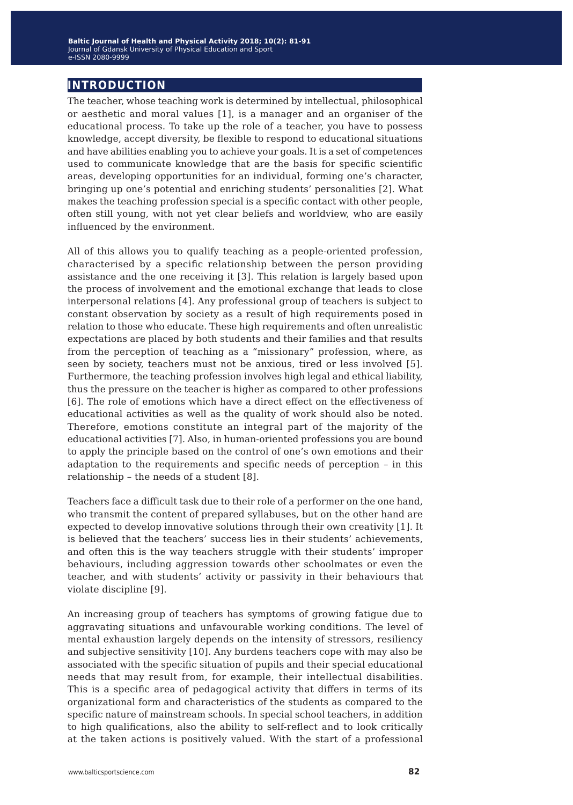## **introduction**

The teacher, whose teaching work is determined by intellectual, philosophical or aesthetic and moral values [1], is a manager and an organiser of the educational process. To take up the role of a teacher, you have to possess knowledge, accept diversity, be flexible to respond to educational situations and have abilities enabling you to achieve your goals. It is a set of competences used to communicate knowledge that are the basis for specific scientific areas, developing opportunities for an individual, forming one's character, bringing up one's potential and enriching students' personalities [2]. What makes the teaching profession special is a specific contact with other people, often still young, with not yet clear beliefs and worldview, who are easily influenced by the environment.

All of this allows you to qualify teaching as a people-oriented profession, characterised by a specific relationship between the person providing assistance and the one receiving it [3]. This relation is largely based upon the process of involvement and the emotional exchange that leads to close interpersonal relations [4]. Any professional group of teachers is subject to constant observation by society as a result of high requirements posed in relation to those who educate. These high requirements and often unrealistic expectations are placed by both students and their families and that results from the perception of teaching as a "missionary" profession, where, as seen by society, teachers must not be anxious, tired or less involved [5]. Furthermore, the teaching profession involves high legal and ethical liability, thus the pressure on the teacher is higher as compared to other professions [6]. The role of emotions which have a direct effect on the effectiveness of educational activities as well as the quality of work should also be noted. Therefore, emotions constitute an integral part of the majority of the educational activities [7]. Also, in human-oriented professions you are bound to apply the principle based on the control of one's own emotions and their adaptation to the requirements and specific needs of perception – in this relationship – the needs of a student [8].

Teachers face a difficult task due to their role of a performer on the one hand, who transmit the content of prepared syllabuses, but on the other hand are expected to develop innovative solutions through their own creativity [1]. It is believed that the teachers' success lies in their students' achievements, and often this is the way teachers struggle with their students' improper behaviours, including aggression towards other schoolmates or even the teacher, and with students' activity or passivity in their behaviours that violate discipline [9].

An increasing group of teachers has symptoms of growing fatigue due to aggravating situations and unfavourable working conditions. The level of mental exhaustion largely depends on the intensity of stressors, resiliency and subjective sensitivity [10]. Any burdens teachers cope with may also be associated with the specific situation of pupils and their special educational needs that may result from, for example, their intellectual disabilities. This is a specific area of pedagogical activity that differs in terms of its organizational form and characteristics of the students as compared to the specific nature of mainstream schools. In special school teachers, in addition to high qualifications, also the ability to self-reflect and to look critically at the taken actions is positively valued. With the start of a professional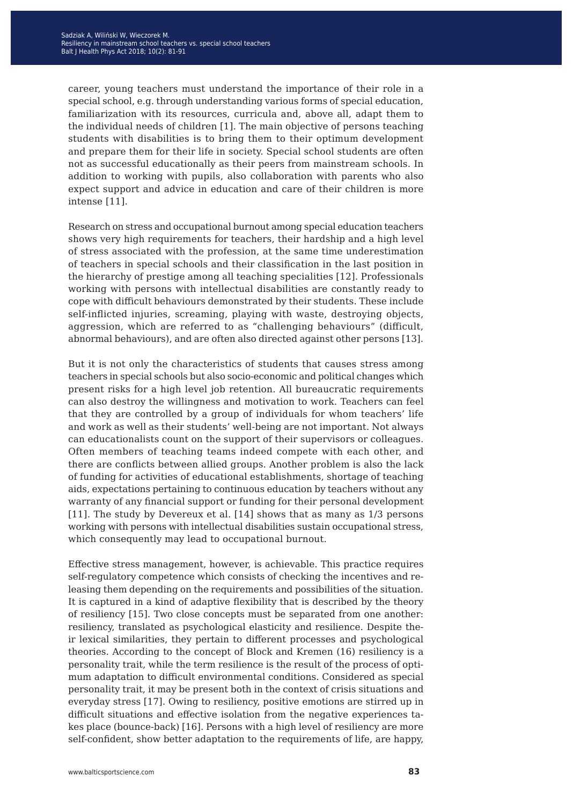career, young teachers must understand the importance of their role in a special school, e.g. through understanding various forms of special education, familiarization with its resources, curricula and, above all, adapt them to the individual needs of children [1]. The main objective of persons teaching students with disabilities is to bring them to their optimum development and prepare them for their life in society. Special school students are often not as successful educationally as their peers from mainstream schools. In addition to working with pupils, also collaboration with parents who also expect support and advice in education and care of their children is more intense [11].

Research on stress and occupational burnout among special education teachers shows very high requirements for teachers, their hardship and a high level of stress associated with the profession, at the same time underestimation of teachers in special schools and their classification in the last position in the hierarchy of prestige among all teaching specialities [12]. Professionals working with persons with intellectual disabilities are constantly ready to cope with difficult behaviours demonstrated by their students. These include self-inflicted injuries, screaming, playing with waste, destroying objects, aggression, which are referred to as "challenging behaviours" (difficult, abnormal behaviours), and are often also directed against other persons [13].

But it is not only the characteristics of students that causes stress among teachers in special schools but also socio-economic and political changes which present risks for a high level job retention. All bureaucratic requirements can also destroy the willingness and motivation to work. Teachers can feel that they are controlled by a group of individuals for whom teachers' life and work as well as their students' well-being are not important. Not always can educationalists count on the support of their supervisors or colleagues. Often members of teaching teams indeed compete with each other, and there are conflicts between allied groups. Another problem is also the lack of funding for activities of educational establishments, shortage of teaching aids, expectations pertaining to continuous education by teachers without any warranty of any financial support or funding for their personal development [11]. The study by Devereux et al. [14] shows that as many as 1/3 persons working with persons with intellectual disabilities sustain occupational stress, which consequently may lead to occupational burnout.

Effective stress management, however, is achievable. This practice requires self-regulatory competence which consists of checking the incentives and releasing them depending on the requirements and possibilities of the situation. It is captured in a kind of adaptive flexibility that is described by the theory of resiliency [15]. Two close concepts must be separated from one another: resiliency, translated as psychological elasticity and resilience. Despite their lexical similarities, they pertain to different processes and psychological theories. According to the concept of Block and Kremen (16) resiliency is a personality trait, while the term resilience is the result of the process of optimum adaptation to difficult environmental conditions. Considered as special personality trait, it may be present both in the context of crisis situations and everyday stress [17]. Owing to resiliency, positive emotions are stirred up in difficult situations and effective isolation from the negative experiences takes place (bounce-back) [16]. Persons with a high level of resiliency are more self-confident, show better adaptation to the requirements of life, are happy,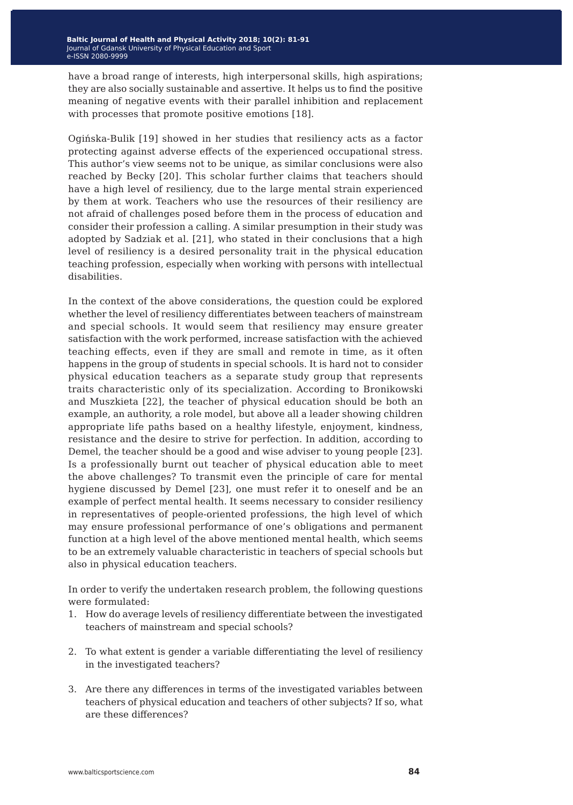have a broad range of interests, high interpersonal skills, high aspirations; they are also socially sustainable and assertive. It helps us to find the positive meaning of negative events with their parallel inhibition and replacement with processes that promote positive emotions [18].

Ogińska-Bulik [19] showed in her studies that resiliency acts as a factor protecting against adverse effects of the experienced occupational stress. This author's view seems not to be unique, as similar conclusions were also reached by Becky [20]. This scholar further claims that teachers should have a high level of resiliency, due to the large mental strain experienced by them at work. Teachers who use the resources of their resiliency are not afraid of challenges posed before them in the process of education and consider their profession a calling. A similar presumption in their study was adopted by Sadziak et al. [21], who stated in their conclusions that a high level of resiliency is a desired personality trait in the physical education teaching profession, especially when working with persons with intellectual disabilities.

In the context of the above considerations, the question could be explored whether the level of resiliency differentiates between teachers of mainstream and special schools. It would seem that resiliency may ensure greater satisfaction with the work performed, increase satisfaction with the achieved teaching effects, even if they are small and remote in time, as it often happens in the group of students in special schools. It is hard not to consider physical education teachers as a separate study group that represents traits characteristic only of its specialization. According to Bronikowski and Muszkieta [22], the teacher of physical education should be both an example, an authority, a role model, but above all a leader showing children appropriate life paths based on a healthy lifestyle, enjoyment, kindness, resistance and the desire to strive for perfection. In addition, according to Demel, the teacher should be a good and wise adviser to young people [23]. Is a professionally burnt out teacher of physical education able to meet the above challenges? To transmit even the principle of care for mental hygiene discussed by Demel [23], one must refer it to oneself and be an example of perfect mental health. It seems necessary to consider resiliency in representatives of people-oriented professions, the high level of which may ensure professional performance of one's obligations and permanent function at a high level of the above mentioned mental health, which seems to be an extremely valuable characteristic in teachers of special schools but also in physical education teachers.

In order to verify the undertaken research problem, the following questions were formulated:

- 1. How do average levels of resiliency differentiate between the investigated teachers of mainstream and special schools?
- 2. To what extent is gender a variable differentiating the level of resiliency in the investigated teachers?
- 3. Are there any differences in terms of the investigated variables between teachers of physical education and teachers of other subjects? If so, what are these differences?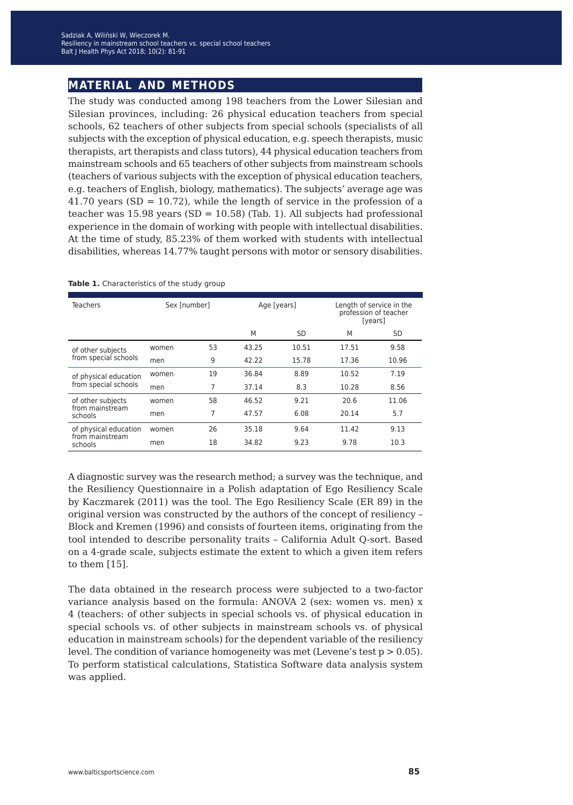## **material and methods**

The study was conducted among 198 teachers from the Lower Silesian and Silesian provinces, including: 26 physical education teachers from special schools, 62 teachers of other subjects from special schools (specialists of all subjects with the exception of physical education, e.g. speech therapists, music therapists, art therapists and class tutors), 44 physical education teachers from mainstream schools and 65 teachers of other subjects from mainstream schools (teachers of various subjects with the exception of physical education teachers, e.g. teachers of English, biology, mathematics). The subjects' average age was 41.70 years (SD =  $10.72$ ), while the length of service in the profession of a teacher was  $15.98$  years (SD = 10.58) (Tab. 1). All subjects had professional experience in the domain of working with people with intellectual disabilities. At the time of study, 85.23% of them worked with students with intellectual disabilities, whereas 14.77% taught persons with motor or sensory disabilities.

| <b>Teachers</b>                           | Sex [number] |    | Age [years] |           | Length of service in the<br>profession of teacher<br>[years] |       |
|-------------------------------------------|--------------|----|-------------|-----------|--------------------------------------------------------------|-------|
|                                           |              |    | M           | <b>SD</b> | M                                                            | SD    |
| of other subjects<br>from special schools | women        | 53 | 43.25       | 10.51     | 17.51                                                        | 9.58  |
|                                           | men          | 9  | 42.22       | 15.78     | 17.36                                                        | 10.96 |
| of physical education                     | women        | 19 | 36.84       | 8.89      | 10.52                                                        | 7.19  |
| from special schools                      | men          | 7  | 37.14       | 8.3       | 10.28                                                        | 8.56  |
| of other subjects                         | women        | 58 | 46.52       | 9.21      | 20.6                                                         | 11.06 |
| from mainstream<br>schools                | men          | 7  | 47.57       | 6.08      | 20.14                                                        | 5.7   |
| of physical education                     | women        | 26 | 35.18       | 9.64      | 11.42                                                        | 9.13  |
| from mainstream<br>schools                | men          | 18 | 34.82       | 9.23      | 9.78                                                         | 10.3  |

#### Table 1. Characteristics of the study group

A diagnostic survey was the research method; a survey was the technique, and the Resiliency Questionnaire in a Polish adaptation of Ego Resiliency Scale by Kaczmarek (2011) was the tool. The Ego Resiliency Scale (ER 89) in the original version was constructed by the authors of the concept of resiliency – Block and Kremen (1996) and consists of fourteen items, originating from the tool intended to describe personality traits – California Adult Q-sort. Based on a 4-grade scale, subjects estimate the extent to which a given item refers to them [15].

The data obtained in the research process were subjected to a two-factor variance analysis based on the formula: ANOVA 2 (sex: women vs. men) x 4 (teachers: of other subjects in special schools vs. of physical education in special schools vs. of other subjects in mainstream schools vs. of physical education in mainstream schools) for the dependent variable of the resiliency level. The condition of variance homogeneity was met (Levene's test  $p > 0.05$ ). To perform statistical calculations, Statistica Software data analysis system was applied.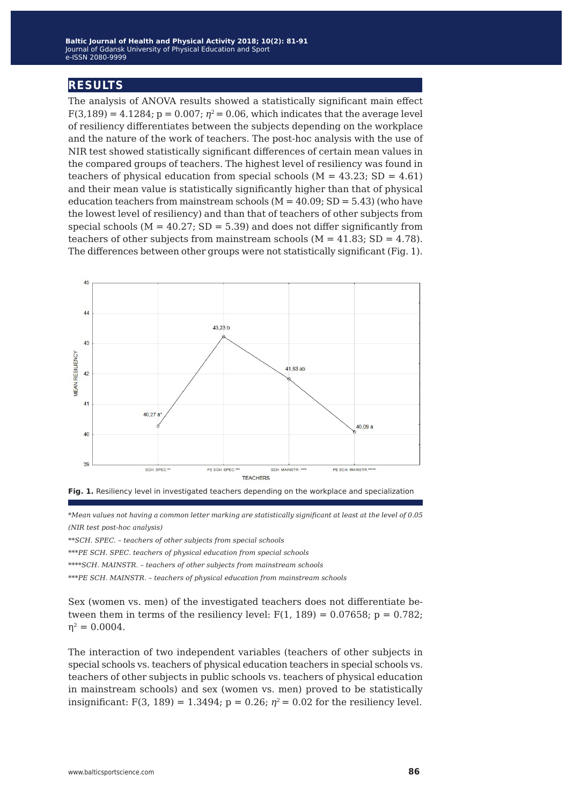### **results**

The analysis of ANOVA results showed a statistically significant main effect  $F(3,189) = 4.1284$ ;  $p = 0.007$ ;  $p^2 = 0.06$ , which indicates that the average level of resiliency differentiates between the subjects depending on the workplace and the nature of the work of teachers. The post-hoc analysis with the use of NIR test showed statistically significant differences of certain mean values in the compared groups of teachers. The highest level of resiliency was found in teachers of physical education from special schools ( $M = 43.23$ ; SD = 4.61) and their mean value is statistically significantly higher than that of physical education teachers from mainstream schools  $(M = 40.09; SD = 5.43)$  (who have the lowest level of resiliency) and than that of teachers of other subjects from special schools ( $M = 40.27$ ; SD = 5.39) and does not differ significantly from teachers of other subjects from mainstream schools  $(M = 41.83; SD = 4.78)$ . The differences between other groups were not statistically significant (Fig. 1).





*\*Mean values not having a common letter marking are statistically significant at least at the level of 0.05 (NIR test post-hoc analysis)*

*\*\*SCH. SPEC. – teachers of other subjects from special schools*

*\*\*\*PE SCH. SPEC. teachers of physical education from special schools*

*\*\*\*\*SCH. MAINSTR. – teachers of other subjects from mainstream schools*

*\*\*\*PE SCH. MAINSTR. – teachers of physical education from mainstream schools*

Sex (women vs. men) of the investigated teachers does not differentiate between them in terms of the resiliency level:  $F(1, 189) = 0.07658$ ;  $p = 0.782$ ;  $\eta^2 = 0.0004$ .

The interaction of two independent variables (teachers of other subjects in special schools vs. teachers of physical education teachers in special schools vs. teachers of other subjects in public schools vs. teachers of physical education in mainstream schools) and sex (women vs. men) proved to be statistically insignificant: F(3, 189) = 1.3494;  $p = 0.26$ ;  $\eta^2 = 0.02$  for the resiliency level.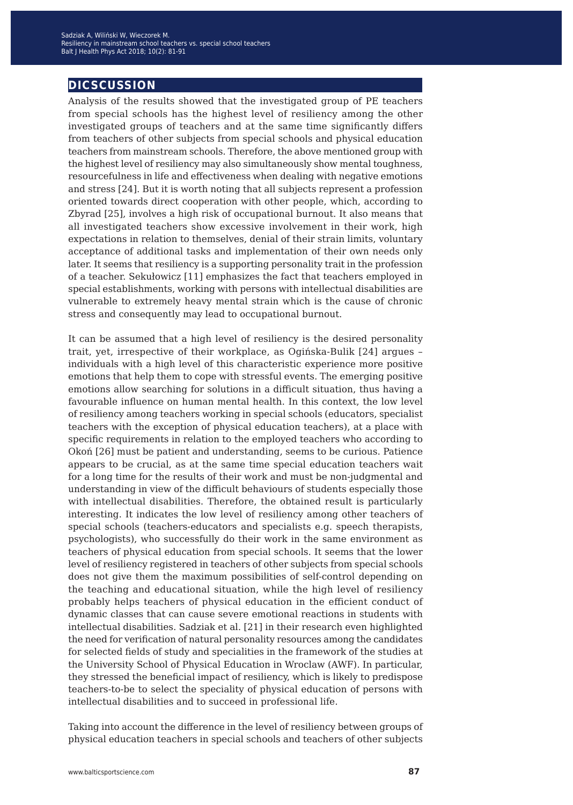## **dicscussion**

Analysis of the results showed that the investigated group of PE teachers from special schools has the highest level of resiliency among the other investigated groups of teachers and at the same time significantly differs from teachers of other subjects from special schools and physical education teachers from mainstream schools. Therefore, the above mentioned group with the highest level of resiliency may also simultaneously show mental toughness, resourcefulness in life and effectiveness when dealing with negative emotions and stress [24]. But it is worth noting that all subjects represent a profession oriented towards direct cooperation with other people, which, according to Zbyrad [25], involves a high risk of occupational burnout. It also means that all investigated teachers show excessive involvement in their work, high expectations in relation to themselves, denial of their strain limits, voluntary acceptance of additional tasks and implementation of their own needs only later. It seems that resiliency is a supporting personality trait in the profession of a teacher. Sekułowicz [11] emphasizes the fact that teachers employed in special establishments, working with persons with intellectual disabilities are vulnerable to extremely heavy mental strain which is the cause of chronic stress and consequently may lead to occupational burnout.

It can be assumed that a high level of resiliency is the desired personality trait, yet, irrespective of their workplace, as Ogińska-Bulik [24] argues – individuals with a high level of this characteristic experience more positive emotions that help them to cope with stressful events. The emerging positive emotions allow searching for solutions in a difficult situation, thus having a favourable influence on human mental health. In this context, the low level of resiliency among teachers working in special schools (educators, specialist teachers with the exception of physical education teachers), at a place with specific requirements in relation to the employed teachers who according to Okoń [26] must be patient and understanding, seems to be curious. Patience appears to be crucial, as at the same time special education teachers wait for a long time for the results of their work and must be non-judgmental and understanding in view of the difficult behaviours of students especially those with intellectual disabilities. Therefore, the obtained result is particularly interesting. It indicates the low level of resiliency among other teachers of special schools (teachers-educators and specialists e.g. speech therapists, psychologists), who successfully do their work in the same environment as teachers of physical education from special schools. It seems that the lower level of resiliency registered in teachers of other subjects from special schools does not give them the maximum possibilities of self-control depending on the teaching and educational situation, while the high level of resiliency probably helps teachers of physical education in the efficient conduct of dynamic classes that can cause severe emotional reactions in students with intellectual disabilities. Sadziak et al. [21] in their research even highlighted the need for verification of natural personality resources among the candidates for selected fields of study and specialities in the framework of the studies at the University School of Physical Education in Wroclaw (AWF). In particular, they stressed the beneficial impact of resiliency, which is likely to predispose teachers-to-be to select the speciality of physical education of persons with intellectual disabilities and to succeed in professional life.

Taking into account the difference in the level of resiliency between groups of physical education teachers in special schools and teachers of other subjects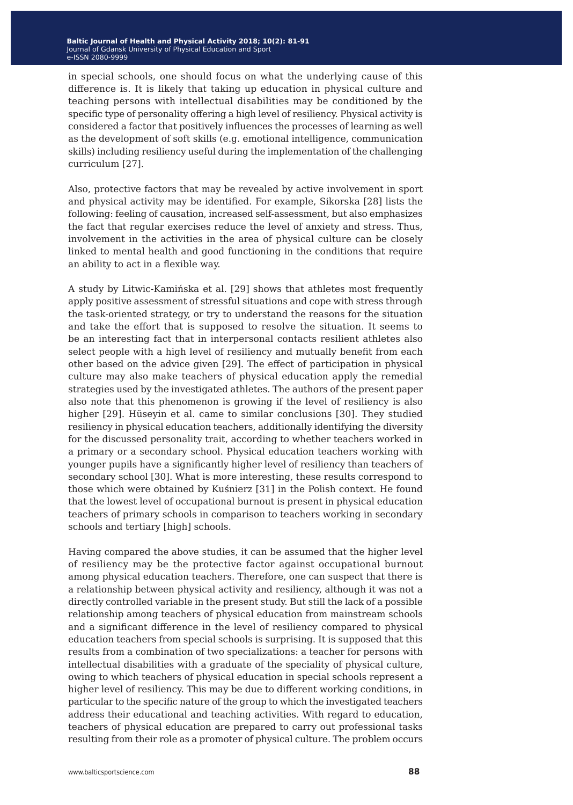in special schools, one should focus on what the underlying cause of this difference is. It is likely that taking up education in physical culture and teaching persons with intellectual disabilities may be conditioned by the specific type of personality offering a high level of resiliency. Physical activity is considered a factor that positively influences the processes of learning as well as the development of soft skills (e.g. emotional intelligence, communication skills) including resiliency useful during the implementation of the challenging curriculum [27].

Also, protective factors that may be revealed by active involvement in sport and physical activity may be identified. For example, Sikorska [28] lists the following: feeling of causation, increased self-assessment, but also emphasizes the fact that regular exercises reduce the level of anxiety and stress. Thus, involvement in the activities in the area of physical culture can be closely linked to mental health and good functioning in the conditions that require an ability to act in a flexible way.

A study by Litwic-Kamińska et al. [29] shows that athletes most frequently apply positive assessment of stressful situations and cope with stress through the task-oriented strategy, or try to understand the reasons for the situation and take the effort that is supposed to resolve the situation. It seems to be an interesting fact that in interpersonal contacts resilient athletes also select people with a high level of resiliency and mutually benefit from each other based on the advice given [29]. The effect of participation in physical culture may also make teachers of physical education apply the remedial strategies used by the investigated athletes. The authors of the present paper also note that this phenomenon is growing if the level of resiliency is also higher [29]. Hüseyin et al. came to similar conclusions [30]. They studied resiliency in physical education teachers, additionally identifying the diversity for the discussed personality trait, according to whether teachers worked in a primary or a secondary school. Physical education teachers working with younger pupils have a significantly higher level of resiliency than teachers of secondary school [30]. What is more interesting, these results correspond to those which were obtained by Kuśnierz [31] in the Polish context. He found that the lowest level of occupational burnout is present in physical education teachers of primary schools in comparison to teachers working in secondary schools and tertiary [high] schools.

Having compared the above studies, it can be assumed that the higher level of resiliency may be the protective factor against occupational burnout among physical education teachers. Therefore, one can suspect that there is a relationship between physical activity and resiliency, although it was not a directly controlled variable in the present study. But still the lack of a possible relationship among teachers of physical education from mainstream schools and a significant difference in the level of resiliency compared to physical education teachers from special schools is surprising. It is supposed that this results from a combination of two specializations: a teacher for persons with intellectual disabilities with a graduate of the speciality of physical culture, owing to which teachers of physical education in special schools represent a higher level of resiliency. This may be due to different working conditions, in particular to the specific nature of the group to which the investigated teachers address their educational and teaching activities. With regard to education, teachers of physical education are prepared to carry out professional tasks resulting from their role as a promoter of physical culture. The problem occurs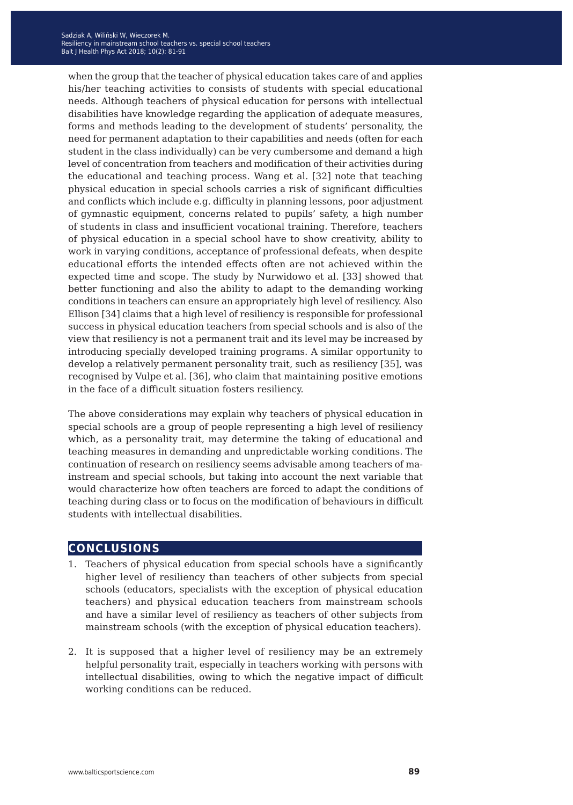when the group that the teacher of physical education takes care of and applies his/her teaching activities to consists of students with special educational needs. Although teachers of physical education for persons with intellectual disabilities have knowledge regarding the application of adequate measures, forms and methods leading to the development of students' personality, the need for permanent adaptation to their capabilities and needs (often for each student in the class individually) can be very cumbersome and demand a high level of concentration from teachers and modification of their activities during the educational and teaching process. Wang et al. [32] note that teaching physical education in special schools carries a risk of significant difficulties and conflicts which include e.g. difficulty in planning lessons, poor adjustment of gymnastic equipment, concerns related to pupils' safety, a high number of students in class and insufficient vocational training. Therefore, teachers of physical education in a special school have to show creativity, ability to work in varying conditions, acceptance of professional defeats, when despite educational efforts the intended effects often are not achieved within the expected time and scope. The study by Nurwidowo et al. [33] showed that better functioning and also the ability to adapt to the demanding working conditions in teachers can ensure an appropriately high level of resiliency. Also Ellison [34] claims that a high level of resiliency is responsible for professional success in physical education teachers from special schools and is also of the view that resiliency is not a permanent trait and its level may be increased by introducing specially developed training programs. A similar opportunity to develop a relatively permanent personality trait, such as resiliency [35], was recognised by Vulpe et al. [36], who claim that maintaining positive emotions in the face of a difficult situation fosters resiliency.

The above considerations may explain why teachers of physical education in special schools are a group of people representing a high level of resiliency which, as a personality trait, may determine the taking of educational and teaching measures in demanding and unpredictable working conditions. The continuation of research on resiliency seems advisable among teachers of mainstream and special schools, but taking into account the next variable that would characterize how often teachers are forced to adapt the conditions of teaching during class or to focus on the modification of behaviours in difficult students with intellectual disabilities.

### **conclusions**

- 1. Teachers of physical education from special schools have a significantly higher level of resiliency than teachers of other subjects from special schools (educators, specialists with the exception of physical education teachers) and physical education teachers from mainstream schools and have a similar level of resiliency as teachers of other subjects from mainstream schools (with the exception of physical education teachers).
- 2. It is supposed that a higher level of resiliency may be an extremely helpful personality trait, especially in teachers working with persons with intellectual disabilities, owing to which the negative impact of difficult working conditions can be reduced.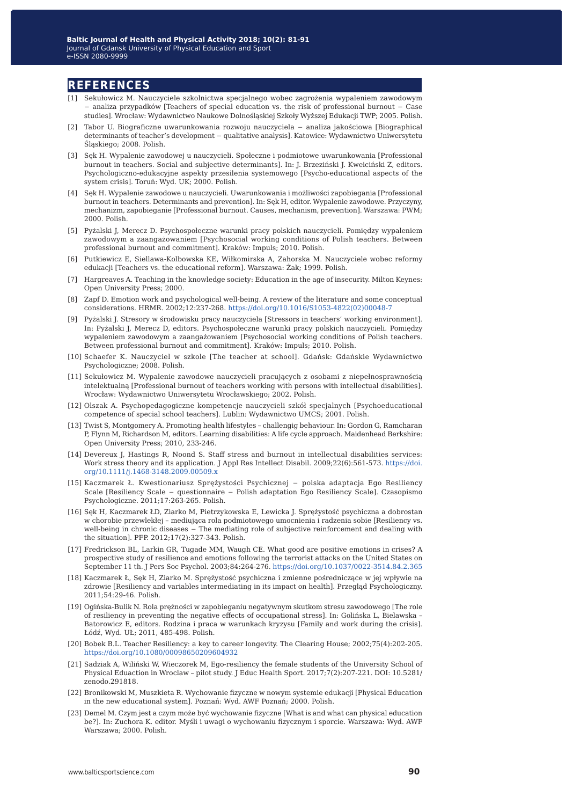### **references**

- [1] Sekułowicz M. Nauczyciele szkolnictwa specjalnego wobec zagrożenia wypaleniem zawodowym − analiza przypadków [Teachers of special education vs. the risk of professional burnout − Case studies]. Wrocław: Wydawnictwo Naukowe Dolnośląskiej Szkoły Wyższej Edukacji TWP; 2005. Polish.
- [2] Tabor U. Biograficzne uwarunkowania rozwoju nauczyciela − analiza jakościowa [Biographical determinants of teacher's development − qualitative analysis]. Katowice: Wydawnictwo Uniwersytetu Śląskiego; 2008. Polish.
- [3] Sęk H. Wypalenie zawodowej u nauczycieli. Społeczne i podmiotowe uwarunkowania [Professional burnout in teachers. Social and subjective determinants]. In: J. Brzeziński J. Kweiciński Z, editors. Psychologiczno-edukacyjne aspekty przesilenia systemowego [Psycho-educational aspects of the system crisis]. Toruń: Wyd. UK; 2000. Polish.
- [4] Sęk H. Wypalenie zawodowe u nauczycieli. Uwarunkowania i możliwości zapobiegania [Professional burnout in teachers. Determinants and prevention]. In: Sęk H, editor. Wypalenie zawodowe. Przyczyny, mechanizm, zapobieganie [Professional burnout. Causes, mechanism, prevention]. Warszawa: PWM; 2000. Polish.
- [5] Pyżalski J, Merecz D. Psychospołeczne warunki pracy polskich nauczycieli. Pomiędzy wypaleniem zawodowym a zaangażowaniem [Psychosocial working conditions of Polish teachers. Between professional burnout and commitment]. Kraków: Impuls; 2010. Polish.
- [6] Putkiewicz E, Siellawa-Kolbowska KE, Wiłkomirska A, Zahorska M. Nauczyciele wobec reformy edukacji [Teachers vs. the educational reform]. Warszawa: Żak; 1999. Polish.
- [7] Hargreaves A. Teaching in the knowledge society: Education in the age of insecurity. Milton Keynes: Open University Press; 2000.
- [8] Zapf D. Emotion work and psychological well-being. A review of the literature and some conceptual considerations. HRMR. 2002;12:237-268. [https://doi.org/10.1016/S1053-4822\(02\)00048-7](https://doi.org/10.1016/S1053-4822(02)00048-7)
- [9] Pyżalski J. Stresory w środowisku pracy nauczyciela [Stressors in teachers' working environment]. In: Pyżalski J, Merecz D, editors. Psychospołeczne warunki pracy polskich nauczycieli. Pomiędzy wypaleniem zawodowym a zaangażowaniem [Psychosocial working conditions of Polish teachers. Between professional burnout and commitment]. Kraków: Impuls; 2010. Polish.
- [10] Schaefer K. Nauczyciel w szkole [The teacher at school]. Gdańsk: Gdańskie Wydawnictwo Psychologiczne; 2008. Polish.
- [11] Sekułowicz M. Wypalenie zawodowe nauczycieli pracujących z osobami z niepełnosprawnością intelektualną [Professional burnout of teachers working with persons with intellectual disabilities]. Wrocław: Wydawnictwo Uniwersytetu Wrocławskiego; 2002. Polish.
- [12] Olszak A. Psychopedagogiczne kompetencje nauczycieli szkół specjalnych [Psychoeducational competence of special school teachers]. Lublin: Wydawnictwo UMCS; 2001. Polish.
- [13] Twist S, Montgomery A. Promoting health lifestyles challengig behaviour. In: Gordon G, Ramcharan P, Flynn M, Richardson M, editors. Learning disabilities: A life cycle approach. Maidenhead Berkshire: Open University Press; 2010, 233-246.
- [14] Devereux J, Hastings R, Noond S. Staff stress and burnout in intellectual disabilities services: Work stress theory and its application. J Appl Res Intellect Disabil. 2009;22(6):561-573. [https://doi.](https://doi.org/10.1111/j.1468-3148.2009.00509.x) [org/10.1111/j.1468-3148.2009.00509.x](https://doi.org/10.1111/j.1468-3148.2009.00509.x)
- [15] Kaczmarek Ł. Kwestionariusz Sprężystości Psychicznej − polska adaptacja Ego Resiliency Scale [Resiliency Scale − questionnaire − Polish adaptation Ego Resiliency Scale]. Czasopismo Psychologiczne. 2011;17:263-265. Polish.
- [16] Sęk H, Kaczmarek ŁD, Ziarko M, Pietrzykowska E, Lewicka J. Sprężystość psychiczna a dobrostan w chorobie przewlekłej – mediująca rola podmiotowego umocnienia i radzenia sobie [Resiliency vs. well-being in chronic diseases − The mediating role of subjective reinforcement and dealing with the situation]. PFP. 2012;17(2):327-343. Polish.
- [17] Fredrickson BL, Larkin GR, Tugade MM, Waugh CE. What good are positive emotions in crises? A prospective study of resilience and emotions following the terrorist attacks on the United States on September 11 th. J Pers Soc Psychol. 2003;84:264-276.<https://doi.org/10.1037/0022-3514.84.2.365>
- [18] Kaczmarek Ł, Sęk H, Ziarko M. Sprężystość psychiczna i zmienne pośredniczące w jej wpływie na zdrowie [Resiliency and variables intermediating in its impact on health]. Przegląd Psychologiczny. 2011;54:29-46. Polish.
- [19] Ogińska-Bulik N. Rola prężności w zapobieganiu negatywnym skutkom stresu zawodowego [The role of resiliency in preventing the negative effects of occupational stress]. In: Golińska L, Bielawska – Batorowicz E, editors. Rodzina i praca w warunkach kryzysu [Family and work during the crisis]. Łódź, Wyd. UŁ; 2011, 485-498. Polish.
- [20] Bobek B.L. Teacher Resiliency: a key to career longevity. The Clearing House; 2002;75(4):202-205. <https://doi.org/10.1080/00098650209604932>
- [21] Sadziak A, Wiliński W, Wieczorek M, Ego-resiliency the female students of the University School of Physical Eduaction in Wroclaw – pilot study. J Educ Health Sport. 2017;7(2):207-221. DOI: 10.5281/ zenodo.291818.
- [22] Bronikowski M, Muszkieta R. Wychowanie fizyczne w nowym systemie edukacji [Physical Education in the new educational system]. Poznań: Wyd. AWF Poznań; 2000. Polish.
- [23] Demel M. Czym jest a czym może być wychowanie fizyczne [What is and what can physical education be?]. In: Zuchora K. editor. Myśli i uwagi o wychowaniu fizycznym i sporcie. Warszawa: Wyd. AWF Warszawa; 2000. Polish.